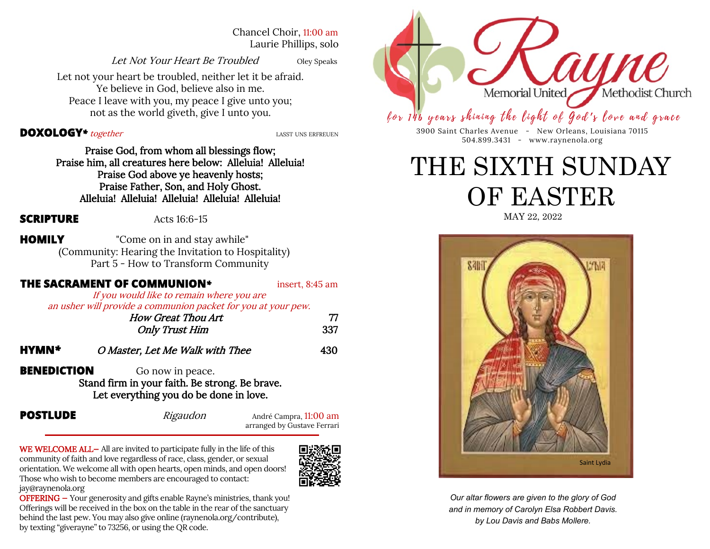Chancel Choir, 11:00 am Laurie Phillips, solo

Let Not Your Heart Be Troubled Oley Speaks

Let not your heart be troubled, neither let it be afraid. Ye believe in God, believe also in me. Peace I leave with you, my peace I give unto you; not as the world giveth, give I unto you.

### **DOXOLOGY**<sup>\*</sup> together *LASST UNS ERFREUEN*

Praise God, from whom all blessings flow; Praise him, all creatures here below: Alleluia! Alleluia! Praise God above ye heavenly hosts; Praise Father, Son, and Holy Ghost. Alleluia! Alleluia! Alleluia! Alleluia! Alleluia!

**SCRIPTURE** Acts 16:6-15

**HOMILY** "Come on in and stay awhile" (Community: Hearing the Invitation to Hospitality) Part 5 - How to Transform Community

## **THE SACRAMENT OF COMMUNION**<sup>\*</sup> insert, 8:45 am If you would like to remain where you are an usher will provide a communion packet for you at your pew. How Great Thou Art 77 Only Trust Him 337 **HYMN***\** O Master, Let Me Walk with Thee 430 **BENEDICTION** Go now in peace. Stand firm in your faith. Be strong. Be brave. Let everything you do be done in love.

**POSTLUDE**  $\longrightarrow$  *Rigaudon* André Campra, 11:00 am arranged by Gustave Ferrari

WE WELCOME ALL- All are invited to participate fully in the life of this community of faith and love regardless of race, class, gender, or sexual orientation. We welcome all with open hearts, open minds, and open doors! Those who wish to become members are encouraged to contact: jay@raynenola.org



OFFERING — Your generosity and gifts enable Rayne's ministries, thank you! Offerings will be received in the box on the table in the rear of the sanctuary behind the last pew. You may also give online (raynenola.org/contribute), by texting "giverayne" to 73256, or using the QR code.



# for 146 years shining the light of God's love and grace

3900 Saint Charles Avenue - New Orleans, Louisiana 70115 504.899.3431 - www.raynenola.org

# THE SIXTH SUNDAY OF EASTER

MAY 22, 2022



*Our altar flowers are given to the glory of God and in memory of Carolyn Elsa Robbert Davis. by Lou Davis and Babs Mollere.*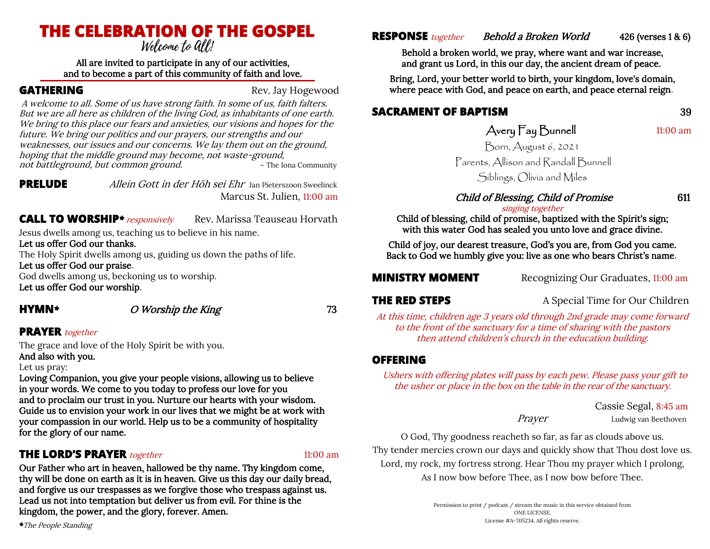# **THE CELEBRATION OF THE GOSPEL**

#### All are invited to participate in any of our activities, and to become a part of this community of faith and love.

**GATHERING** Rev. Jay Hogewood

 A welcome to all. Some of us have strong faith. In some of us, faith falters. But we are all here as children of the living God, as inhabitants of one earth. We bring to this place our fears and anxieties, our visions and hopes for the future. We bring our politics and our prayers, our strengths and our weaknesses, our issues and our concerns. We lay them out on the ground, hoping that the middle ground may become, not waste-ground, not battleground, but common ground.

**PRELUDE** Allein Gott in der Höh sei Ehr Jan Pieterszoon SweelinckMarcus St. Julien, 11:00 am

## **CALL TO WORSHIP**<sup>\*</sup> *responsively* Rev. Marissa Teauseau Horvath

Jesus dwells among us, teaching us to believe in his name.

Let us offer God our thanks.

The Holy Spirit dwells among us, guiding us down the paths of life.

Let us offer God our praise.

God dwells among us, beckoning us to worship. Let us offer God our worship.

# **HYMN**<sup>\*</sup> O Worship the King 73

## **PRAYER** together

The grace and love of the Holy Spirit be with you.

And also with you.

Let us pray:

Loving Companion, you give your people visions, allowing us to believe in your words. We come to you today to profess our love for you and to proclaim our trust in you. Nurture our hearts with your wisdom. Guide us to envision your work in our lives that we might be at work with your compassion in our world. Help us to be a community of hospitality for the glory of our name.

# **THE LORD'S PRAYER** *together* 11:00 am

Our Father who art in heaven, hallowed be thy name. Thy kingdom come, thy will be done on earth as it is in heaven. Give us this day our daily bread, and forgive us our trespasses as we forgive those who trespass against us. Lead us not into temptation but deliver us from evil. For thine is the kingdom, the power, and the glory, forever. Amen.

**RESPONSE** *together Behold a Broken World* 426 (verses 1 & 6)

Behold a broken world, we pray, where want and war increase, and grant us Lord, in this our day, the ancient dream of peace.

Bring, Lord, your better world to birth, your kingdom, love's domain, where peace with God, and peace on earth, and peace eternal reign.

# **SACRAMENT OF BAPTISM** 39

# Avery Fay Bunnell 11:00 am

Born, August 6, 2021 Parents, Allison and Randall Bunnell

Siblings, Olivia and Miles

### Child of Blessing, Child of Promise 611 singing together

Child of blessing, child of promise, baptized with the Spirit's sign; with this water God has sealed you unto love and grace divine.

Child of joy, our dearest treasure, God's you are, from God you came. Back to God we humbly give you: live as one who bears Christ's name.

**MINISTRY MOMENT** Recognizing Our Graduates, 11:00 am

**THE RED STEPS** A Special Time for Our Children

At this time, children age 3 years old through 2nd grade may come forward to the front of the sanctuary for a time of sharing with the pastors then attend children's church in the education building.

# **OFFERING**

Ushers with offering plates will pass by each pew. Please pass your gift to the usher or place in the box on the table in the rear of the sanctuary.

> Cassie Segal, 8:45 am Prayer Ludwig van Beethoven

O God, Thy goodness reacheth so far, as far as clouds above us. Thy tender mercies crown our days and quickly show that Thou dost love us. Lord, my rock, my fortress strong. Hear Thou my prayer which I prolong, As I now bow before Thee, as I now bow before Thee.